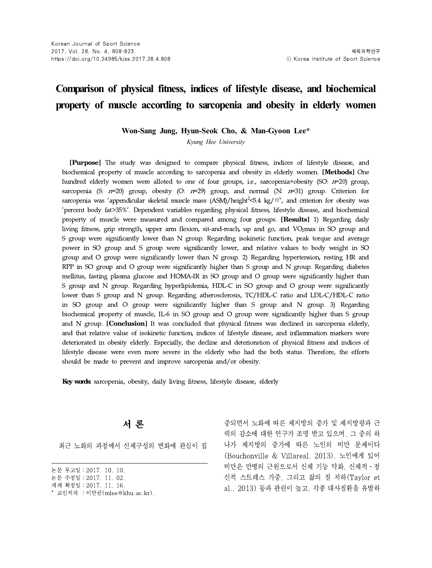# **Comparison of physical fitness, indices of lifestyle disease, and biochemical property of muscle according to sarcopenia and obesity in elderly women**

**Won-Sang Jung, Hyun-Seok Cho, & Man-Gyoon Lee\***

*Kyung Hee University*

[Purpose] The study was designed to compare physical fitness, indices of lifestyle disease, and biochemical property of muscle according to sarcopenia and obesity in elderly women. **[Methods]** One hundred elderly women were alloted to one of four groups, i.e., sarcopenia+obesity (SO:  $n=20$ ) group, sarcopenia (S:  $t=20$ ) group, obesity (O:  $t=29$ ) group, and normal (N:  $t=31$ ) group. Criterion for sarcopenia was 'appendicular skeletal muscle mass (ASM)/height $^2$ <5.4 kg/ $m^2$ , and criterion for obesity was 'percent body fat>35%'. Dependent variables regarding physical fitness, lifestyle disease, and biochemical property of muscle were measured and compared among four groups. **[Results]** 1) Regarding daily living fitness, grip strength, upper arm flexion, sit-and-reach, up and go, and VO<sub>2</sub>max in SO group and S group were significantly lower than N group. Regarding isokinetic function, peak torque and average power in SO group and S group were significantly lower, and relative values to body weight in SO group and O group were significantly lower than N group. 2) Regarding hypertension, resting HR and RPP in SO group and O group were significantly higher than S group and N group. Regarding diabetes mellitus, fasting plasma glucose and HOMA-IR in SO group and O group were significantly higher than S group and N group. Regarding hyperlipidemia, HDL-C in SO group and O group were significantly lower than S group and N group. Regarding atherosclerosis, TC/HDL-C ratio and LDL-C/HDL-C ratio in SO group and O group were significantly higher than S group and N group. 3) Regarding biochemical property of muscle, IL-6 in SO group and O group were significantly higher than S group and N group. **[Conclusion]** It was concluded that physical fitness was declined in sarcopenia elderly, and that relative value of isokinetic function, indices of lifestyle disease, and inflammation markers were deteriorated in obesity elderly. Especially, the decline and deterioration of physical fitness and indices of lifestyle disease were even more severe in the elderly who had the both status. Therefore, the efforts should be made to prevent and improve sarcopenia and/or obesity.

Key words: sarcopenia, obesity, daily living fitness, lifestyle disease, elderly

최근 노화의 과정에서 신체구성의 변화에 관심이 집

**서 론** 영화 - TO THE 중되면서 노화에 따른 체지방의 증가 및 제지방량과 근 력의 감소에 대한 연구가 조명 받고 있으며, 그 중의 하 나가 체지방의 증가에 따른 노인의 비만 문제이다 (Bouchonville & Villareal, 2013). 노인에게 있어 비만은 만병의 근원으로서 신체 기능 약화, 신체적ㆍ정 신적 스트레스 가중, 그리고 삶의 질 저하(Taylor et al., 2013) 등과 관련이 높고, 각종 대사질환을 유발하

논문 투고일∶2017. 10. 10.

논문 수정일∶2017. 11. 02.

게재 확정일∶2017. 11. 16.

<sup>\*</sup> 교신저자 ∶이만균(mlee@khu.ac.kr).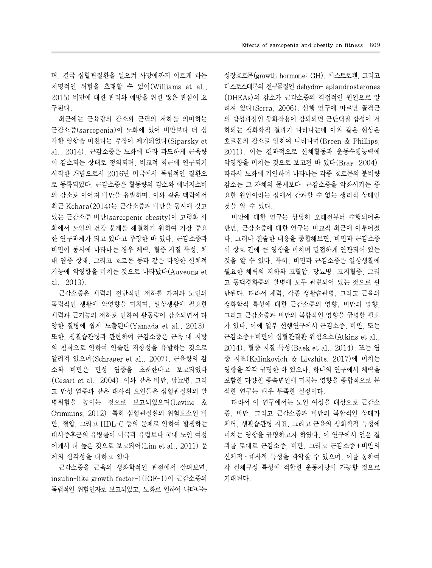며, 결국 심혈관질환을 일으켜 사망에까지 이르게 하는 치명적인 위험을 초래할 수 있어(Williams et al., 2015) 비만에 대한 관리와 예방을 위한 많은 관심이 요 구된다.

최근에는 근육량의 감소와 근력의 저하를 의미하는 근감소증(sarcopenia)이 노화에 있어 비만보다 더 심 각한 영향을 미친다는 주장이 제기되었다(Siparsky et al., 2014). 근감소증은 노화에 따라 과도하게 근육량 이 감소되는 상태로 정의되며, 비교적 최근에 연구되기 시작한 개념으로서 2016년 미국에서 독립적인 질환으 로 등록되었다. 근감소증은 활동량의 감소와 에너지소비 의 감소로 이어져 비만을 유발하며, 이와 같은 맥락에서 최근 Kohara(2014)는 근감소증과 비만을 동시에 갖고 있는 근감소증 비만(sarcopenic obesity)이 고령화 사 회에서 노인의 건강 문제를 해결하기 위하여 가장 중요 한 연구과제가 되고 있다고 주장한 바 있다. 근감소증과 비만이 동시에 나타나는 경우 체력, 혈중 지질 특성, 체 내 염증 상태, 그리고 호르몬 등과 같은 다양한 신체적 기능에 악영향을 미치는 것으로 나타났다(Auyeung et al., 2013).

근감소증은 체력의 전반적인 저하를 가져와 노인의 독립적인 생활에 악영향을 미치며, 일상생활에 필요한 체력과 근기능의 저하로 인하여 활동량이 감소되면서 다 양한 질병에 쉽게 노출된다(Yamada et al., 2013). 또한, 생활습관병과 관련하여 근감소증은 근육 내 지방 의 침착으로 인하여 인슐린 저항성을 유발하는 것으로 알려져 있으며(Schrager etal., 2007), 근육량의 감 소와 비만은 만성 염증을 초래한다고 보고되었다 (Cesari et al., 2004). 이와 같은 비만, 당뇨병, 그리 고 만성 염증과 같은 대사적 요인들은 심혈관질환의 발 병위험을 높이는 것으로 보고되었으며(Levine & Crimmins, 2012), 특히 심혈관질환의 위험요소인 비 만, 혈압, 그리고 HDL-C등의 문제로 인하여 발생하는 대사증후군의 유병률이 미국과 유럽보다 국내 노인 여성 에게서 더 높은 것으로 보고되어(Lim et al., 2011) 문 제의 심각성을 더하고 있다.

근감소증을 근육의 생화학적인 관점에서 살펴보면, insulin-like growth factor-1(IGF-1)이 근감소증의 독립적인 위험인자로 보고되었고, 노화로 인하여 나타나는 성장호르몬(growth hormone: GH), 에스트로겐, 그리고 테스토스테론의 전구물질인 dehydro- epiandrosterones (DHEAs)의 감소가 근감소증의 직접적인 원인으로 알 려져 있다(Serra, 2006). 선행 연구에 따르면 골격근 의 합성과정인 동화작용이 감퇴되면 근단백질 합성이 저 하되는 생화학적 결과가 나타나는데 이와 같은 현상은 호르몬의 감소로 인하여 나타나며(Breen & Phillips, 2011), 이는 결과적으로 신체활동과 운동수행능력에 악영향을 미치는 것으로 보고된 바 있다(Bray, 2004). 따라서 노화에 기인하여 나타나는 각종 호르몬의 분비량 감소는 그 자체의 문제보다, 근감소증을 악화시키는 중 요한 원인이라는 점에서 간과할 수 없는 생리적 상태인 것을 알 수 있다.

비만에 대한 연구는 상당히 오래전부터 수행되어온 반면, 근감소증에 대한 연구는 비교적 최근에 이루어졌 다. 그러나 전술한 내용을 종합해보면, 비만과 근감소증 이 상호 간에 큰 영향을 미치며 밀접하게 연관되어 있는 것을 알 수 있다. 특히, 비만과 근감소증은 일상생활에 필요한 체력의 저하와 고혈압, 당뇨병, 고지혈증, 그리 고 동맥경화증의 발병에 모두 관련되어 있는 것으로 판 단된다. 따라서 체력, 각종 생활습관병, 그리고 근육의 생화학적 특성에 대한 근감소증의 영향,비만의 영향, 그리고 근감소증과 비만의 복합적인 영향을 규명할 필요 가 있다. 이에 일부 선행연구에서 근감소증, 비만, 또는 근감소증+비만이 심혈관질환 위험요소(Atkins et al., 2014), 혈중 지질 특성(Baek et al., 2014), 또는 염 증 지표(Kalinkovich & Livshits, 2017)에 미치는 영향을 각각 규명한 바 있으나, 하나의 연구에서 체력을 포함한 다양한 종속변인에 미치는 영향을 종합적으로 분 석한 연구는 매우 부족한 실정이다.

따라서 이 연구에서는 노인 여성을 대상으로 근감소 증, 비만, 그리고 근감소증과 비만의 복합적인 상태가 체력, 생활습관병 지표, 그리고 근육의 생화학적 특성에 미치는 영향을 규명하고자 하였다. 이 연구에서 얻은 결 과를 토대로 근감소증, 비만, 그리고 근감소증+비만의 신체적ㆍ대사적 특성을 파악할 수 있으며, 이를 통하여 각 신체구성 특성에 적합한 운동처방이 가능할 것으로 기대된다.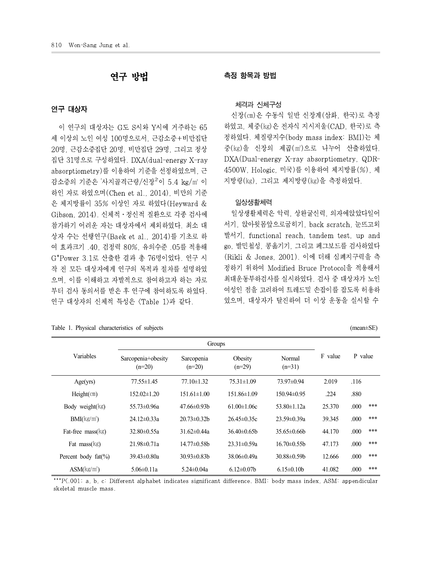# 연구 대상자

이 연구의 대상자는 G도 S시와 Y시에 거주하는 65 세 이상의 노인 여성 100명으로서, 근감소증+비만집단 20명, 근감소증집단 20명, 비만집단 29명, 그리고 정상 집단 31명으로 구성하였다. DXA(dual-energy X-ray absorptiometry)를 이용하여 기준을 선정하였으며, 근 감소증의 기준은 '사지골격근량/신장<sup>2'</sup>이 5.4 kg/m' 이 하인 자로 하였으며(Chen et al.,2014), 비만의 기준 은 체지방률이 35% 이상인 자로 하였다(Heyward & Gibson, 2014). 신체적ㆍ정신적 질환으로 각종 검사에 참가하기 어려운 자는 대상자에서 제외하였다. 최소 대 상자 수는 선행연구(Baek et al., 2014)를 기초로 하 여 효과크기 .40, 검정력 80%, 유의수준 .05를 적용해 G\*Power 3.1로 산출한 결과 총 76명이었다. 연구 시 작 전 모든 대상자에게 연구의 목적과 절차를 설명하였 으며, 이를 이해하고 자발적으로 참여하고자 하는 자로 부터 검사 동의서를 받은 후 연구에 참여하도록 하였다. 연구 대상자의 신체적 특성은 <Table 1>과 같다.

### Table 1. Physical characteristics of subjects (mean±SE) (mean±SE)

# 연구 방법 측정 항목과 방법

### 체격과 신체구성

'이 5.4 kg/㎡ 이 지방량(㎏), 그리고 제지방량(㎏)을 측정하였다. 신장(㎝)은 수동식 일반 신장계(삼화, 한국)로 측정 하였고, 체중(㎏)은 전자식 지시저울(CAD,한국)로 측 정하였다. 체질량지수(body mass index: BMI)는 체 중(㎏)을 신장의 제곱(㎡)으로 나누어 산출하였다. DXA(Dual-energy X-ray absorptiometry, QDR-4500W, Hologic, 미국)를 이용하여 체지방률(%), 체

### 일상생활체력

일상생활체력은 악력, 상완굴신력, 의자에앉았다일어 서기, 앉아윗몸앞으로굽히기, back scratch, 눈뜨고외 발서기, functional reach, tandem test, up and go, 발민첩성, 콩옮기기, 그리고 페그보드를 검사하였다 (Rikli & Jones, 2001). 이에 더해 심폐지구력을 측 정하기 위하여 Modified Bruce Protocol을 적용해서 최대운동부하검사를 실시하였다. 검사 중 대상자가 노인 여성인 점을 고려하여 트레드밀 손잡이를 잡도록 허용하 였으며, 대상자가 탈진하여 더 이상 운동을 실시할 수

|                                   |                                | Groups                 |                     |                    |         |             |  |  |
|-----------------------------------|--------------------------------|------------------------|---------------------|--------------------|---------|-------------|--|--|
| Variables                         | Sarcopenia+obesity<br>$(n=20)$ | Sarcopenia<br>$(n=20)$ | Obesity<br>$(n=29)$ | Normal<br>$(n=31)$ | F value | P value     |  |  |
| Age(yrs)                          | $77.55 \pm 1.45$               | $77.10 \pm 1.32$       | $75.31 \pm 1.09$    | 73.97±0.94         | 2.019   | .116        |  |  |
| $Height$ (cm)                     | $152.02 \pm 1.20$              | $151.61 \pm 1.00$      | $151.86 \pm 1.09$   | $150.94 \pm 0.95$  | .224    | .880        |  |  |
| Body weight $(kg)$                | $55.73 \pm 0.96a$              | $47.66 \pm 0.93 b$     | $61.00 \pm 1.06c$   | $53.80 \pm 1.12a$  | 25.370  | ***<br>.000 |  |  |
| $BMI(kg/m^2)$                     | $24.12 \pm 0.33a$              | 20.73±0.32b            | $26.45 \pm 0.35c$   | $23.59 \pm 0.39a$  | 39.345  | ***<br>.000 |  |  |
| Fat-free $\text{mass}(\text{kg})$ | $32.80 \pm 0.55a$              | $31.62 \pm 0.44a$      | $36.40\pm0.65b$     | $35.65 \pm 0.66$   | 44.170  | ***<br>.000 |  |  |
| Fat $mass(kg)$                    | $21.98 \pm 0.71a$              | $14.77 \pm 0.58$ b     | $23.31 \pm 0.59a$   | $16.70 \pm 0.55$   | 47.173  | ***<br>.000 |  |  |
| Percent body fat(%)               | $39.43 \pm 0.80a$              | $30.93 \pm 0.83 b$     | $38.06 \pm 0.49a$   | $30.88 \pm 0.59$   | 12.666  | ***<br>.000 |  |  |
| $ASM(kg/m^2)$                     | $5.06 \pm 0.11a$               | $5.24 \pm 0.04a$       | $6.12 \pm 0.07$     | $6.15 \pm 0.10b$   | 41.082  | ***<br>.000 |  |  |

\*\*\*P<.001; a, b, c: Different alphabet indicates significant difference. BMI: body mass index, ASM: appendicular skeletal muscle mass.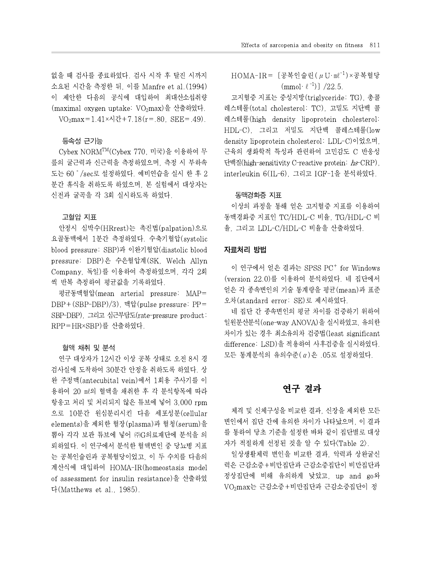없을 때 검사를 종료하였다. 검사 시작 후 탈진 시까지 소요된 시간을 측정한 뒤, 이를 Manfre et al.(1994) 이 제안한 다음의 공식에 대입하여 최대산소섭취량 (maximal oxygen uptake: VO<sub>2</sub>max)을 산출하였다.  $VO<sub>2</sub>max=1.41\times\lambda$   $2t+7.18(r=.80, SEE=.49)$ .

# 등속성 근기능

Cybex NORMTM(Cybex 770, 미국)을 이용하여 무 릎의 굴근력과 신근력을 측정하였으며, 측정 시 부하속 도는 60˚/sec로 설정하였다. 예비연습을 실시 한 후 2 분간 휴식을 취하도록 하였으며, 본 실험에서 대상자는 신전과 굴곡을 각 3회 실시하도록 하였다.

# 고혈압 지표

안정시 심박수(HRrest)는 촉진법(palpation)으로 요골동맥에서 1분간 측정하였다. 수축기혈압(systolic blood pressure: SBP)과 이완기혈압(diastolic blood pressure: DBP)은 수은혈압계(SK, Welch Allyn Company, 독일)를 이용하여 측정하였으며, 각각 2회 씩 반복 측정하여 평균값을 기록하였다.

평균동맥혈압(mean arterial pressure: MAP= DBP+(SBP-DBP)/3), 맥압(pulse pressure: PP= SBP-DBP), 그리고 심근부담도(rate-pressure product: RPP=HR×SBP)를 산출하였다.

# 혈액 채취 및 분석

연구 대상자가 12시간 이상 공복 상태로 오전 8시 경 검사실에 도착하여 30분간 안정을 취하도록 하였다. 상 완 주정맥(antecubital vein)에서 1회용 주사기를 이 용하여 20 ㎖의 혈액을 채취한 후 각 분석항목에 따라 항응고 처리 및 처리되지 않은 튜브에 넣어 3,000 rpm 으로 10분간 원심분리시킨 다음 세포성분(cellular elements)을 제외한 혈장(plasma)과 혈청(serum)을 뽑아 각각 보관 튜브에 넣어 ㈜G의료재단에 분석을 의 뢰하였다. 이 연구에서 분석한 혈액변인 중 당뇨병 지표 는 공복인슐린과 공복혈당이었고, 이 두 수치를 다음의 계산식에 대입하여 HOMA-IR(homeostasis model of assessment for insulin resistance)을 산출하였 다(Matthews et al., 1985).

HOMA-IR= [공복인슐린  $(\mu U \cdot m^{0^{-1}}) \times \frac{1}{3}$ 복혈당  $(mmol·l^{-1})$ ] /22.5.

고지혈증 지표는 중성지방(triglyceride: TG), 총콜 레스테롤(total cholesterol: TC), 고밀도 지단백 콜 레스테롤(high density lipoprotein cholesterol: HDL-C), 그리고 저밀도 지단백 콜레스테롤(low density lipoprotein cholesterol: LDL-C)이었으며, 근육의 생화학적 특성과 관련하여 고민감도 C 반응성 단백질(high-sensitivity C-reactive protein: hs-CRP), interleukin 6(IL-6), 그리고 IGF-1을 분석하였다.

# 동맥경화증 지표

이상의 과정을 통해 얻은 고지혈증 지표를 이용하여 동맥경화증 지표인 TC/HDL-C 비율, TG/HDL-C 비 율, 그리고 LDL-C/HDL-C 비율을 산출하였다.

# 자료처리 방법

이 연구에서 얻은 결과는 SPSS PC <sup>+</sup> for Windows (version 22.0)를 이용하여 분석하였다. 네 집단에서 얻은 각 종속변인의 기술 통계량을 평균(mean)과 표준 오차(standard error: SE)로 제시하였다.

네 집단 간 종속변인의 평균 차이를 검증하기 위하여 일원분산분석(one-way ANOVA)을 실시하였고, 유의한 차이가 있는 경우 최소유의차 검증법(least significant difference: LSD)을 적용하여 사후검증을 실시하였다. 모든 통계분석의 유의수준(α)은 .05로 설정하였다.

# 연구 결과

체격 및 신체구성을 비교한 결과, 신장을 제외한 모든 변인에서 집단 간에 유의한 차이가 나타났으며, 이 결과 를 통하여 당초 기준을 설정한 바와 같이 집단별로 대상 자가 적절하게 선정된 것을 알 수 있다<Table 2>.

일상생활체력 변인을 비교한 결과, 악력과 상완굴신 력은 근감소증+비만집단과 근감소증집단이 비만집단과 정상집단에 비해 유의하게 낮았고, up and go와 VO2max는 근감소증+비만집단과 근감소증집단이 정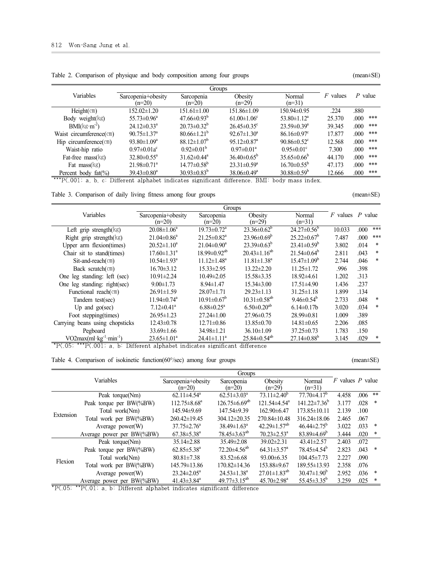|                                   |                                |                               | Groups                        |                                  |            |             |
|-----------------------------------|--------------------------------|-------------------------------|-------------------------------|----------------------------------|------------|-------------|
| Variables                         | Sarcopenia+obesity<br>$(n=20)$ | Sarcopenia<br>$(n=20)$        | Obesity<br>$(n=29)$           | Normal<br>$(n=31)$               | $F$ values | $P$ value   |
| $Height$ (cm)                     | $152.02 \pm 1.20$              | $151.61 \pm 1.00$             | 151.86±1.09                   | 150.94±0.95                      | .224       | .880        |
| Body weight $(kg)$                | $55.73 \pm 0.96^a$             | $47.66 \pm 0.93^b$            | $61.00 \pm 1.06$ <sup>c</sup> | $53.80 \pm 1.12^a$               | 25.370     | ***<br>.000 |
| $BMI(kg \cdot m^2)$               | $24.12 \pm 0.33$ <sup>a</sup>  | $20.73 \pm 0.32^b$            | $26.45 \pm 0.35$ <sup>c</sup> | $23.59 \pm 0.39^a$               | 39.345     | ***<br>.000 |
| Waist circumference $(\text{cm})$ | $90.75 \pm 1.37$ <sup>a</sup>  | $80.66 \pm 1.21^b$            | $92.67 \pm 1.30^a$            | $86.16 \pm 0.97$ <sup>c</sup>    | 17.877     | ***<br>.000 |
| Hip circumference $(\text{cm})$   | 93.80 $\pm$ 1.09 <sup>a</sup>  | $88.12 \pm 1.07^b$            | $95.12 \pm 0.87$ <sup>a</sup> | 90.86 $\pm$ 0.52 $\rm{^{\circ}}$ | 12.568     | ***<br>.000 |
| Waist-hip ratio                   | $0.97 \pm 0.01a^c$             | $0.92 \pm 0.01^b$             | $0.97 \pm 0.01^a$             | $0.95 \pm 0.01$ <sup>c</sup>     | 7.300      | ***<br>.000 |
| Fat-free $\text{mass}(\text{kg})$ | $32.80 \pm 0.55^{\circ}$       | $31.62 \pm 0.44$ <sup>a</sup> | $36.40\pm0.65^{\circ}$        | $35.65\pm0.66^{\circ}$           | 44.170     | ***<br>.000 |
| Fat $\text{mass}(kg)$             | $21.98 \pm 0.71$ <sup>a</sup>  | $14.77 \pm 0.58^{\rm b}$      | $23.31 \pm 0.59^a$            | $16.70 \pm 0.55^{\circ}$         | 47.173     | ***<br>.000 |
| Percent body $fat(\% )$           | $39.43 \pm 0.80^a$             | $30.93 \pm 0.83^b$            | $38.06 \pm 0.49^a$            | $30.88 \pm 0.59^b$               | 12.666     | ***<br>.000 |

Table 2. Comparison of physique and body composition among four groups (mean±SE) (mean±SE)

\*\*\*P $\langle .001; a, b, c \rangle$ : Different alphabet indicates significant difference. BMI: body mass index.

| Table 3. Co | $\sim$ $\sim$ $\sim$ $\sim$ $\sim$ $\sim$<br>comparison of daily |  | titness among<br>living | tour | groups | $(mean \pm SE)$ |  |
|-------------|------------------------------------------------------------------|--|-------------------------|------|--------|-----------------|--|
|-------------|------------------------------------------------------------------|--|-------------------------|------|--------|-----------------|--|

|                                       |                                | Groups                        |                                |                              |                      |      |        |
|---------------------------------------|--------------------------------|-------------------------------|--------------------------------|------------------------------|----------------------|------|--------|
| Variables                             | Sarcopenia+obesity<br>$(n=20)$ | Sarcopenia<br>$(n=20)$        | Obesity<br>$(n=29)$            | Normal<br>$(n=31)$           | $F$ values $P$ value |      |        |
| Left grip strength $(kg)$             | $20.08 \pm 1.06^a$             | $19.73 \pm 0.72$ <sup>a</sup> | $23.36 \pm 0.62^b$             | $24.27\pm0.56^{\circ}$       | 10.033               | .000 | ***    |
| Right grip strength $(kg)$            | $21.04 \pm 0.86^a$             | $21.25 \pm 0.82$ <sup>a</sup> | $23.96 \pm 0.69^b$             | $25.22 \pm 0.67^b$           | 7.487                | .000 | ***    |
| Upper arm flexion(times)              | $20.52 \pm 1.10^a$             | $21.04 \pm 0.90^a$            | $23.39\pm0.63^b$               | $23.41 \pm 0.59^b$           | 3.802                | .014 | $\ast$ |
| Chair sit to stand(times)             | $17.60 \pm 1.31$ <sup>a</sup>  | $18.99 \pm 0.92^{ab}$         | $20.43 \pm 1.16^{ab}$          | $21.54 \pm 0.64^b$           | 2.811                | .043 | $\ast$ |
| $Sit$ -and-reach $(\text{cm})$        | $10.54 \pm 1.93$ <sup>a</sup>  | $11.12 \pm 1.48^a$            | $11.81 \pm 1.38^a$             | $15.47\pm1.09^b$             | 2.744                | .046 | $\ast$ |
| Back scratch $(\text{cm})$            | $16.70 \pm 3.12$               | $15.33 \pm 2.95$              | $13.22 \pm 2.20$               | $11.25 \pm 1.72$             | .996                 | .398 |        |
| One leg standing: left (sec)          | $10.91 \pm 2.24$               | $10.49 \pm 2.05$              | 15.58 ± 3.35                   | $18.92{\pm}4.61$             | 1.202                | .313 |        |
| One leg standing: right(sec)          | $9.00 \pm 1.73$                | $8.94 \pm 1.47$               | $15.34\pm3.00$                 | $17.51 \pm 4.90$             | 1.436                | .237 |        |
| Functional reach(cm)                  | $26.91 \pm 1.59$               | $28.07 \pm 1.71$              | $29.23 \pm 1.13$               | $31.25 \pm 1.18$             | 1.899                | .134 |        |
| Tandem test(sec)                      | $11.94 \pm 0.74$ <sup>a</sup>  | $10.91 \pm 0.67^{\circ}$      | $10.31 \pm 0.58$ <sup>ab</sup> | 9.46 $\pm$ 0.54 <sup>b</sup> | 2.733                | .048 | $\ast$ |
| Up and $go(sec)$                      | $7.12 \pm 0.41$ <sup>a</sup>   | $6.88 \pm 0.25$ <sup>a</sup>  | $6.50 \pm 0.20$ <sup>ab</sup>  | $6.14\pm0.17h$               | 3.020                | .034 | $\ast$ |
| Foot stepping (times)                 | $26.95 \pm 1.23$               | $27.24 \pm 1.00$              | $27.96\pm 0.75$                | $28.99 \pm 0.81$             | 1.009                | .389 |        |
| Carrying beans using chopsticks       | $12.43 \pm 0.78$               | $12.71 \pm 0.86$              | $13.85 \pm 0.70$               | $14.81 \pm 0.65$             | 2.206                | .085 |        |
| Pegboard                              | $33.69 \pm 1.66$               | $34.98 \pm 1.21$              | $36.10 \pm 1.09$               | $37.25 \pm 0.73$             | 1.783                | .150 |        |
| $VO2max(ml \text{ kg}^{-1} min^{-1})$ | $23.65 \pm 1.01^a$             | $24.41 \pm 1.11^a$            | $25.84\pm0.54^{ab}$            | $27.14\pm0.88^{\rm b}$       | 3.145                | .029 |        |

\*P<.05; \*\*\*P<.001; a, b: Different alphabet indicates significant difference

### Table 4. Comparison of isokinetic function(60°/sec) among four groups (mean±SE) (mean±SE)

Variables **Groups** Sarcopenia+obesity Sarcopenia Obesity Normal F values P value  $(n=20)$ Sarcopenia  $(n=20)$ **Obesity**  $(n=29)$ Normal  $(n=31)$ Extension Total work per BW(%BW) 260.42±19.45 304.12±20.35 270.84±10.48 316.24±18.06 2.465 .067 Peak torque(Nm) 62.11±4.54<sup>a</sup> 62.51±3.03<sup>a</sup> 73.11±2.40<sup>b</sup> 77.70±4.17<sup>b</sup> 4.458 .006 \*\* Peak torque per BW(%BW)  $112.75\pm8.68^a$   $126.75\pm6.69^{ab}$   $121.54\pm4.54^a$   $141.22\pm7.36^b$   $3.177$  .028 \* Total work(Nm) 145.94±9.69 147.54±9.39 162.90±6.47 173.85±10.11 2.139 .100 Average power(W)  $37.75\pm2.76^a$   $38.49\pm1.63^a$   $42.29\pm1.57^{ab}$   $46.44\pm2.75^b$   $3.022$  .033 \*<br>ge power per BW(%BW)  $67.38\pm5.38^a$   $78.45\pm3.63^{ab}$   $70.23\pm2.53^a$   $83.89\pm4.69^b$   $3.444$  .020 \* Average power per BW(%BW) 67.38±5.38<sup>a</sup> 78.45±3.63<sup>ab</sup> 70.23±2.53<sup>a</sup> 83.89±4.69<sup>b</sup> 3.444 .020<br>Peak torque(Nm) 35.14±2.88 35.49±2.08 39.02±2.31 43.41±2.57 2.403 .072 Flexion Total work per BW(%BW) 145.79±13.86 170.82±14.36 153.88±9.67 189.55±13.93 2.358 .076 Peak torque(Nm) 35.14±2.88 35.49±2.08 39.02±2.31 43.41±2.57 2.403 Peak torque per BW(%BW) 62.85 $\pm$ 5.38<sup>a</sup> 72.20 $\pm$ 4.56<sup>ab</sup> 64.31 $\pm$ 3.57<sup>a</sup> 78.45 $\pm$ 4.54<sup>b</sup> 2.823 .043 \* Total work(Nm) 80.81±7.38 83.52±6.68 93.00±6.35 104.45±7.73 2.227 .090 Average power(W)  $23.24 \pm 2.05^a$   $24.53 \pm 1.38^a$   $27.01 \pm 1.83^{ab}$   $30.47 \pm 1.90^b$   $2.952$  .036 \*<br>ge power per BW(%BW)  $41.43 \pm 3.84^a$   $49.77 \pm 3.15^{ab}$   $45.70 \pm 2.98^a$   $55.45 \pm 3.35^b$   $3.259$  .025 \* Average power per BW(%BW)  $41.43\pm3.84$ <sup>a</sup>  $49.77\pm3.15$ <sup>ab</sup>  $45.70\pm2.98$ <sup>a</sup>  $55.45\pm3.35$ <sup>b</sup>  $3.259$  .025 \*

 $*P\langle.05; **P\langle.01; a, b: Different alphabet indicates significant difference$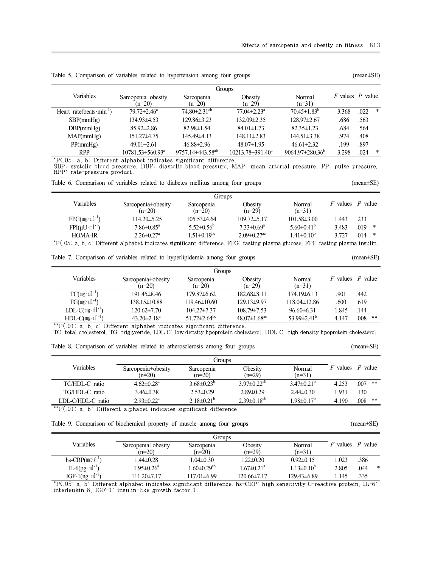|                                      |                                |                                | Groups                        |                              |                      |      |        |
|--------------------------------------|--------------------------------|--------------------------------|-------------------------------|------------------------------|----------------------|------|--------|
| Variables                            | Sarcopenia+obesity<br>$(n=20)$ | Sarcopenia<br>$(n=20)$         | Obesity<br>$(n=29)$           | Normal<br>$(n=31)$           | $F$ values $P$ value |      |        |
| Heart rate(beats min <sup>-1</sup> ) | $79.72 \pm 2.46^a$             | $74.80 \pm 2.31$ <sup>ab</sup> | $77.04 \pm 2.23$ <sup>a</sup> | $70.45 \pm 1.83^b$           | 3.368                | .022 | ∗      |
| SBP(mmHg)                            | 134.93±4.53                    | 129.86±3.23                    | $132.09 \pm 2.35$             | $128.97 \pm 2.67$            | .686                 | .563 |        |
| DBP(mmHg)                            | $85.92 \pm 2.86$               | $82.98 \pm 1.54$               | $84.01 \pm 1.73$              | $82.35 \pm 1.23$             | .684                 | .564 |        |
| MAP(mmHg)                            | $151.27\pm4.75$                | 145.49±4.13                    | $148.11 \pm 2.83$             | $144.51 \pm 3.38$            | .974                 | .408 |        |
| PP(mmHg)                             | $49.01 \pm 2.61$               | 46.88±2.96                     | $48.07 \pm 1.95$              | $46.61 \pm 2.32$             | 199                  | .897 |        |
| <b>RPP</b>                           | $10781.53 \pm 560.93^a$        | 9757.14±443.58 <sup>ab</sup>   | $10213.78 \pm 391.40^a$       | $9064.97 \pm 280.36^{\circ}$ | 3.298                | .024 | $\ast$ |

Table 5. Comparison of variables related to hypertension among four groups (mean $\pm$ SE) (mean $\pm$ SE)

\*P<.05; a, b: Different alphabet indicates significant difference.

SBP: systolic blood pressure, DBP: diastolic blood pressure, MAP: mean arterial pressure, PP: pulse pressure,<br>RPP: rate-pressure product.

| Table 6. Comparison of variables related to diabetes mellitus among four groups |  |  | $(mean \pm SE)$ |
|---------------------------------------------------------------------------------|--|--|-----------------|
|                                                                                 |  |  |                 |

|                            |                                | Groups                       |                               |                    |        |           |  |  |
|----------------------------|--------------------------------|------------------------------|-------------------------------|--------------------|--------|-----------|--|--|
| Variables                  | Sarcopenia+obesity<br>$(n=20)$ | Sarcopenia<br>$(n=20)$       | Obesity<br>$(n=29)$           | Normal<br>$(n=31)$ | values | $P$ value |  |  |
| $FPG(mg \cdot dl^{-1})$    | $114.20 \pm 5.25$              | $105.53\pm4.64$              | $109.72 \pm 5.17$             | $101.58 \pm 3.00$  | .443   | .233      |  |  |
| $FPI(\mu U \cdot ml^{-1})$ | $7.86 \pm 0.85$ <sup>a</sup>   | $5.52 \pm 0.56^{\circ}$      | $7.33 \pm 0.69^a$             | $5.60\pm0.41^{b}$  | 3.483  | .019<br>∗ |  |  |
| <b>HOMA-IR</b>             | $2.26 \pm 0.27$ <sup>a</sup>   | $.51 \pm 0.19$ <sup>bc</sup> | $2.09 \pm 0.27$ <sup>ac</sup> | $1.41 \pm 0.10^b$  | 3.727  | .014<br>∗ |  |  |

\*P<.05; a, b, c: Different alphabet indicates significant difference. FPG: fasting plasma glucose, FPI: fasting plasma insulin.

Table 7. Comparison of variables related to hyperlipidemia among four groups (mean±SE) (mean±SE)

|                           |                                | Groups                         |                                |                               |        |            |
|---------------------------|--------------------------------|--------------------------------|--------------------------------|-------------------------------|--------|------------|
| Variables                 | Sarcopenia+obesity<br>$(n=20)$ | Sarcopenia<br>$(n=20)$         | Obesity<br>$(n=29)$            | Normal<br>$(n=31)$            | values | P value    |
| $TC(mg \cdot dl^{-1})$    | $191.45 \pm 8.46$              | $179.87\pm 6.62$               | $182.68 \pm 8.11$              | $174.19\pm 6.13$              | .901   | .442       |
| $TG(mg \cdot dl^{-1})$    | $138.15 \pm 10.88$             | 119.46±10.60                   | $129.13 \pm 9.97$              | 118.04±12.86                  | 600    | .619       |
| $LDL-C(mg \cdot dl^{-1})$ | 120.62±7.70                    | $104.27 \pm 7.37$              | $108.79 \pm 7.53$              | $96.60 \pm 6.31$              | .845   | .144       |
| $HDL-C(mg \cdot dl^{-1})$ | $43.20 \pm 2.18^a$             | $51.72 \pm 2.64$ <sup>bc</sup> | $48.07 \pm 1.68$ <sup>ac</sup> | 53.99 $\pm$ 2.41 <sup>b</sup> | 4.147  | .008<br>** |

\*\*P<.01; a, b, c: Different alphabet indicates significant difference.<br>TC: total cholesterol, TG: triglyceride, LDL-C: low density lipoprotein cholesterol, HDL-C: high density lipoprotein cholesterol.

Table 8. Comparison of variables related to atherosclerosis among four groups (mean±SE) (mean±SE)

| Variables         | Sarcopenia+obesity<br>$(n=20)$ | Sarcopenia<br>$(n=20)$ | Obesity<br>$(n=29)$  | Normal<br>$(n=31)$    | values | P value   |
|-------------------|--------------------------------|------------------------|----------------------|-----------------------|--------|-----------|
| TC/HDL-C ratio    | $4.62 \pm 0.28$ <sup>a</sup>   | $3.68 \pm 0.23^b$      | $3.97\pm0.22^{ab}$   | $3.47\pm0.21^{\circ}$ | 4.253  | $.007$ ** |
| TG/HDL-C ratio    | $3.46 \pm 0.38$                | $2.53 \pm 0.29$        | $2.89 \pm 0.29$      | $2.44\pm0.30$         | 1.931  | .130      |
| LDL-C/HDL-C ratio | $2.93 \pm 0.22^a$              | $2.18 \pm 0.21^b$      | $2.39 \pm 0.18^{ab}$ | $1.98 \pm 0.17^b$     | 4.190  | $.008$ ** |

 $*$ <sup>\*</sup>P $\langle .01; a, b \rangle$  Different alphabet indicates significant difference

Table 9. Comparison of biochemical property of muscle among four groups (mean±SE) (mean±SE)

| Variables                      | Sarcopenia+obesity<br>$(n=20)$ | Sarcopenia<br>$(n=20)$       | Obesity<br>$(n=29)$          | Normal<br>$(n=31)$ | values | P value   |
|--------------------------------|--------------------------------|------------------------------|------------------------------|--------------------|--------|-----------|
| hs-CRP( $mg \cdot \ell^{-1}$ ) | $0.44 \pm 0.28$                | $.04\pm0.30$                 | $1.22 \pm 0.20$              | $0.92\pm 0.15$     | 1.023  | .386      |
| IL-6( $pg \cdot ml^{-1}$ )     | $.95 \pm 0.26^a$               | .60 $\pm$ 0.29 <sup>ab</sup> | $1.67 \pm 0.21$ <sup>a</sup> | $1.13 \pm 0.10^b$  | 2.805  | .044<br>∗ |
| $IGF-1(ng·ml-1)$               | 111.20±7.17                    | $117.01 \pm 6.99$            | 120.66±7.17                  | $129.43\pm 6.89$   | .145   | .335      |

\*P<.05; a, b: Different alphabet indicates significant difference. hs-CRP: high sensitivity C-reactive protein, IL-6: interleukin 6, IGF-1: insulin-like growth factor 1.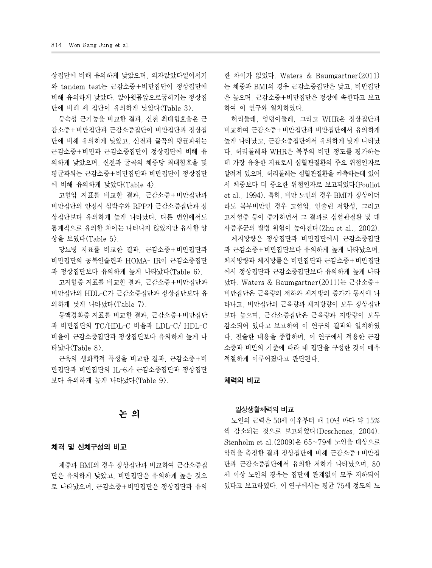상집단에 비해 유의하게 낮았으며, 의자앉았다일어서기 와 tandem test는 근감소증+비만집단이 정상집단에 비해 유의하게 낮았다. 앉아윗몸앞으로굽히기는 정상집 단에 비해 세 집단이 유의하게 낮았다<Table 3>.

등속성 근기능을 비교한 결과, 신전 최대힘효율은 근 감소증+비만집단과 근감소증집단이 비만집단과 정상집 단에 비해 유의하게 낮았고, 신전과 굴곡의 평균파워는 근감소증+비만과 근감소증집단이 정상집단에 비해 유 의하게 낮았으며, 신전과 굴곡의 체중당 최대힘효율 및 평균파워는 근감소증+비만집단과 비만집단이 정상집단 에 비해 유의하게 낮았다<Table 4>.

고혈압 지표를 비교한 결과, 근감소증+비만집단과 비만집단의 안정시 심박수와 RPP가 근감소증집단과 정 상집단보다 유의하게 높게 나타났다. 다른 변인에서도 통계적으로 유의한 차이는 나타나지 않았지만 유사한 양 상을 보였다<Table 5>.

당뇨병 지표를 비교한 결과, 근감소증+비만집단과 비만집단의 공복인슐린과 HOMA- IR이 근감소증집단 과 정상집단보다 유의하게 높게 나타났다<Table 6>.

고지혈증 지표를 비교한 결과, 근감소증+비만집단과 비만집단의 HDL-C가 근감소증집단과 정상집단보다 유 의하게 낮게 나타났다<Table 7>.

동맥경화증 지표를 비교한 결과, 근감소증+비만집단 과 비만집단의 TC/HDL-C 비율과 LDL-C/ HDL-C 비율이 근감소증집단과 정상집단보다 유의하게 높게 나 타났다<Table 8>.

근육의 생화학적 특성을 비교한 결과, 근감소증+비 만집단과 비만집단의 IL-6가 근감소증집단과 정상집단 보다 유의하게 높게 나타났다<Table 9>.

# 논 의

### 체격 및 신체구성의 비교

체중과 BMI의 경우 정상집단과 비교하여 근감소증집 단은 유의하게 낮았고, 비만집단은 유의하게 높은 것으 로 나타났으며, 근감소증+비만집단은 정상집단과 유의 한 차이가 없었다. Waters & Baumgartner(2011) 는 체중과 BMI의 경우 근감소증집단은 낮고, 비만집단 은 높으며, 근감소증+비만집단은 정상에 속한다고 보고 하여 이 연구와 일치하였다.

허리둘레, 엉덩이둘레, 그리고 WHR은 정상집단과 비교하여 근감소증+비만집단과 비만집단에서 유의하게 높게 나타났고, 근감소증집단에서 유의하게 낮게 나타났 다. 허리둘레와 WHR은 복부의 비만 정도를 평가하는 데 가장 유용한 지표로서 심혈관질환의 주요 위험인자로 알려져 있으며, 허리둘레는 심혈관질환을 예측하는데 있어 서 체중보다 더 중요한 위험인자로 보고되었다(Pouliot et al., 1994). 특히, 비만 노인의 경우 BMI가 정상이더 라도 복부비만인 경우 고혈압, 인슐린 저항성, 그리고 고지혈증 등이 증가하면서 그 결과로 심혈관질환 및 대 사증후군의 발병 위험이 높아진다(Zhu et al., 2002).

제지방량은 정상집단과 비만집단에서 근감소증집단 과 근감소증+비만집단보다 유의하게 높게 나타났으며, 체지방량과 체지방률은 비만집단과 근감소증+비만집단 에서 정상집단과 근감소증집단보다 유의하게 높게 나타 났다. Waters & Baumgartner(2011)는 근감소증+ 비만집단은 근육량의 저하와 체지방의 증가가 동시에 나 타나고, 비만집단의 근육량과 체지방량이 모두 정상집단 보다 높으며, 근감소증집단은 근육량과 지방량이 모두 감소되어 있다고 보고하여 이 연구의 결과와 일치하였 다. 전술한 내용을 종합하며, 이 연구에서 적용한 근감 소증과 비만의 기준에 따라 네 집단을 구성한 것이 매우 적절하게 이루어졌다고 판단된다.

### 체력의 비교

### 일상생활체력의 비교

노인의 근력은 50세 이후부터 매 10년 마다 약 15% 씩 감소되는 것으로 보고되었다(Deschenes, 2004). Stenholm et al.(2009)은 65~79세 노인을 대상으로 악력을 측정한 결과 정상집단에 비해 근감소증+비만집 단과 근감소증집단에서 유의한 저하가 나타났으며, 80 세 이상 노인의 경우는 집단에 관계없이 모두 저하되어 있다고 보고하였다. 이 연구에서는 평균 75세 정도의 노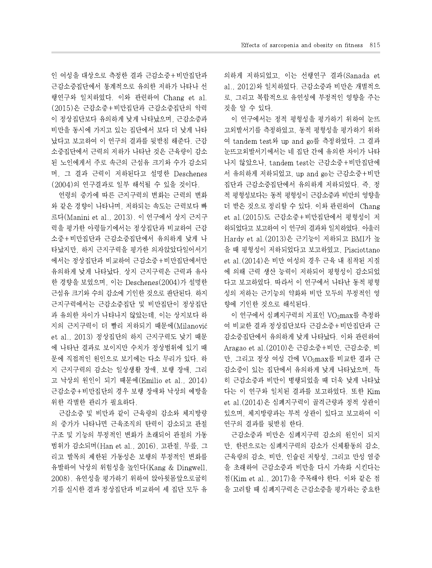인 여성을 대상으로 측정한 결과 근감소증+비만집단과 근감소증집단에서 통계적으로 유의한 저하가 나타나 선 행연구와 일치하였다. 이와 관련하여 Chang et al. (2015)은 근감소증+비만집단과 근감소증집단의 악력 이 정상집단보다 유의하게 낮게 나타났으며, 근감소증과 비만을 동시에 가지고 있는 집단에서 보다 더 낮게 나타 났다고 보고하여 이 연구의 결과를 뒷받침 해준다. 근감 소증집단에서 근력의 저하가 나타난 것은 근육량이 감소 된 노인에게서 주로 속근의 근섬유 크기와 수가 감소되 며, 그 결과 근력이 저하된다고 설명한 Deschenes (2004)의 연구결과로 일부 해석될 수 있을 것이다.

연령의 증가에 따른 근지구력의 변화는 근력의 변화 와 같은 경향이 나타나며, 저하되는 속도는 근력보다 빠 르다(Manini et al., 2013). 이 연구에서 상지 근지구 력을 평가한 아령들기에서는 정상집단과 비교하여 근감 소증+비만집단과 근감소증집단에서 유의하게 낮게 나 타났지만, 하지 근지구력을 평가한 의자앉았다일어서기 에서는 정상집단과 비교하여 근감소증+비만집단에서만 유의하게 낮게 나타났다. 상지 근지구력은 근력과 유사 한 경향을 보였으며, 이는 Deschenes(2004)가 설명한 근섬유 크기와 수의 감소에 기인한 것으로 판단된다. 하지 근지구력에서는 근감소증집단 및 비만집단이 정상집단 과 유의한 차이가 나타나지 않았는데, 이는 상지보다 하 지의 근지구력이 더 빨리 저하되기 때문에(Milanović et al., 2013) 정상집단의 하지 근지구력도 낮기 때문 에 나타난 결과로 보이지만 수치가 정상범위에 있기 때 문에 직접적인 원인으로 보기에는 다소 무리가 있다. 하 지 근지구력의 감소는 일상생활 장애, 보행 장애, 그리 고 낙상의 원인이 되기 때문에(Emilio et al.,2014) 근감소증+비만집단의 경우 보행 장애와 낙상의 예방을 위한 각별한 관리가 필요하다.

근감소증 및 비만과 같이 근육량의 감소와 체지방량 의 증가가 나타나면 근육조직의 탄력이 감소되고 관절 구조 및 기능의 부정적인 변화가 초래되어 관절의 가동 범위가 감소되며(Han et al., 2016), 고관절, 무릎, 그 리고 발목의 제한된 가동성은 보행의 부정적인 변화를 유발하여 낙상의 위험성을 높인다(Kang & Dingwell, 2008). 유연성을 평가하기 위하여 앉아윗몸앞으로굽히 기를 실시한 결과 정상집단과 비교하여 세 집단 모두 유 의하게 저하되었고, 이는 선행연구 결과(Sanada et al., 2012)와 일치하였다. 근감소증과 비만은 개별적으 로, 그리고 복합적으로 유연성에 부정적인 영향을 주는 것을 알 수 있다.

이 연구에서는 정적 평형성을 평가하기 위하여 눈뜨 고외발서기를 측정하였고, 동적 평형성을 평가하기 위하 여 tandem test와 up and go를 측정하였다. 그 결과 눈뜨고외발서기에서는 네 집단 간에 유의한 차이가 나타 나지 않았으나, tandem test는 근감소증+비만집단에 서 유의하게 저하되었고, up and go는 근감소증+비만 집단과 근감소증집단에서 유의하게 저하되었다. 즉, 정 적 평형성보다는 동적 평형성이 근감소증과 비만의 영향을 더 받은 것으로 정리할 수 있다. 이와 관련하여 Chang et al.(2015)도 근감소증+비만집단에서 평형성이 저 하되었다고 보고하여 이 연구의 결과와 일치하였다. 아울러 Hardyet al.(2013)은 근기능이 저하되고 BMI가 높 을 때 평형성이 저하되었다고 보고하였고, Pisciottano et al.(2014)은 비만 여성의 경우 근육 내 침착된 지질 에 의해 근력 생산 능력이 저하되어 평형성이 감소되었 다고 보고하였다. 따라서 이 연구에서 나타난 동적 평형 성의 저하는 근기능의 약화와 비만 모두의 부정적인 영 향에 기인한 것으로 해석된다.

이 연구에서 심폐지구력의 지표인 VO<sub>2</sub>max를 측정하 여 비교한 결과 정상집단보다 근감소증+비만집단과 근 감소증집단에서 유의하게 낮게 나타났다. 이와 관련하여 Aragao et al.(2010)은 근감소증+비만, 근감소증, 비 만, 그리고 정상 여성 간에 VO<sub>2</sub>max를 비교한 결과 근 감소증이 있는 집단에서 유의하게 낮게 나타났으며, 특 히 근감소증과 비만이 병행되었을 때 더욱 낮게 나타났 다는 이 연구와 일치된 결과를 보고하였다. 또한 Kim et al.(2014)은 심폐지구력이 골격근량과 정적 상관이 있으며, 체지방량과는 부적 상관이 있다고 보고하여 이 연구의 결과를 뒷받침 한다.

근감소증과 비만은 심폐지구력 감소의 원인이 되지 만, 한편으로는 심폐지구력의 감소가 신체활동의 감소, 근육량의 감소, 비만, 인슐린 저항성, 그리고 만성 염증 을 초래하여 근감소증과 비만을 다시 가속화 시킨다는 점(Kim et al., 2017)을 주목해야 한다. 이와 같은 점 을 고려할 때 심폐지구력은 근감소증을 평가하는 중요한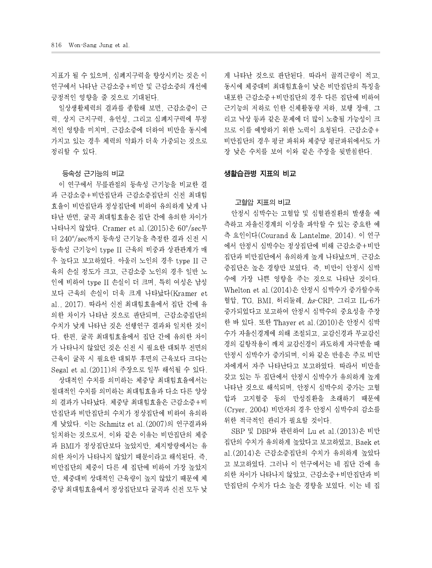지표가 될 수 있으며, 심폐지구력을 향상시키는 것은 이 연구에서 나타난 근감소증+비만 및 근감소증의 개선에 긍정적인 영향을 줄 것으로 기대된다.

일상생활체력의 결과를 종합해 보면, 근감소증이 근 력, 상지 근지구력, 유연성, 그리고 심폐지구력에 부정 적인 영향을 미치며, 근감소증에 더하여 비만을 동시에 가지고 있는 경우 체력의 약화가 더욱 가중되는 것으로 정리할 수 있다.

### 등속성 근기능의 비교

이 연구에서 무릎관절의 등속성 근기능을 비교한 결 과 근감소증+비만집단과 근감소증집단의 신전 최대힘 효율이 비만집단과 정상집단에 비하여 유의하게 낮게 나 타난 반면, 굴곡 최대힘효율은 집단 간에 유의한 차이가 나타나지 않았다. Cramer et al.(2015)은 60°/sec부 터 240°/sec까지 등속성 근기능을 측정한 결과 신전 시 등속성 근기능이 type II 근육의 비중과 상관관계가 매 우 높다고 보고하였다. 아울러 노인의 경우 type II 근 육의 손실 정도가 크고, 근감소증 노인의 경우 일반 노 인에 비하여 type II 손실이 더 크며, 특히 여성은 남성 보다 근육의 손실이 더욱 크게 나타났다(Kramer et al., 2017). 따라서 신전 최대힘효율에서 집단 간에 유 의한 차이가 나타난 것으로 판단되며, 근감소증집단의 수치가 낮게 나타난 것은 선행연구 결과와 일치한 것이 다. 한편, 굴곡 최대힘효율에서 집단 간에 유의한 차이 가 나타나지 않았던 것은 신전 시 필요한 대퇴부 전면의 근육이 굴곡 시 필요한 대퇴부 후면의 근육보다 크다는 Segal et al.(2011)의 주장으로 일부 해석될 수 있다.

상대적인 수치를 의미하는 체중당 최대힘효율에서는 절대적인 수치를 의미하는 최대힘효율과 다소 다른 양상 의 결과가 나타났다. 체중당 최대힘효율은 근감소증+비 만집단과 비만집단의 수치가 정상집단에 비하여 유의하 게 낮았다. 이는 Schmitz et al.(2007)의 연구결과와 일치하는 것으로서, 이와 같은 이유는 비만집단의 체중 과 BMI가 정상집단보다 높았지만, 제지방량에서는 유 의한 차이가 나타나지 않았기 때문이라고 해석된다. 즉, 비만집단의 체중이 다른 세 집단에 비하여 가장 높았지 만, 체중대비 상대적인 근육량이 높지 않았기 때문에 체 중당 최대힘효율에서 정상집단보다 굴곡과 신전 모두 낮 게 나타난 것으로 판단된다. 따라서 골격근량이 적고, 동시에 체중대비 최대힘효율이 낮은 비만집단의 특징을 내포한 근감소증+비만집단의 경우 다른 집단에 비하여 근기능의 저하로 인한 신체활동량 저하, 보행 장애, 그 리고 낙상 등과 같은 문제에 더 많이 노출될 가능성이 크 므로 이를 예방하기 위한 노력이 요청된다. 근감소증+ 비만집단의 경우 평균 파워와 체중당 평균파워에서도 가 장 낮은 수치를 보여 이와 같은 주장을 뒷받침한다.

### 생활습관병 지표의 비교

### 고혈압 지표의 비교

안정시 심박수는 고혈압 및 심혈관질환의 발생을 예 측하고 자율신경계의 이상을 파악할 수 있는 중요한 예 측 요인이다(Courand & Lantelme, 2014). 이 연구 에서 안정시 심박수는 정상집단에 비해 근감소증+비만 집단과 비만집단에서 유의하게 높게 나타났으며, 근감소 증집단은 높은 경향만 보였다. 즉, 비만이 안정시 심박 수에 가장 나쁜 영향을 주는 것으로 나타난 것이다. Whelton et al.(2014)은 안정시 심박수가 증가할수록 혈압, TG, BMI, 허리둘레, hs-CRP, 그리고 IL-6가 증가되었다고 보고하여 안정시 심박수의 중요성을 주장 한 바 있다. 또한 Thayer et al.(2010)은 안정시 심박 수가 자율신경계에 의해 조절되고, 교감신경과 부교감신 경의 길항작용이 깨져 교감신경이 과도하게 자극받을 때 안정시 심박수가 증가되며, 이와 같은 반응은 주로 비만 자에게서 자주 나타난다고 보고하였다. 따라서 비만을 갖고 있는 두 집단에서 안정시 심박수가 유의하게 높게 나타난 것으로 해석되며, 안정시 심박수의 증가는 고혈 압과 고지혈증 등의 만성질환을 초래하기 때문에 (Cryer, 2004) 비만자의 경우 안정시 심박수의 감소를 위한 적극적인 관리가 필요할 것이다.

SBP 및 DBP와 관련하여 Lu et al.(2013)은 비만 집단의 수치가 유의하게 높았다고 보고하였고, Baek et al.(2014)은 근감소증집단의 수치가 유의하게 높았다 고 보고하였다. 그러나 이 연구에서는 네 집단 간에 유 의한 차이가 나타나지 않았고, 근감소증+비만집단과 비 만집단의 수치가 다소 높은 경향을 보였다. 이는 네 집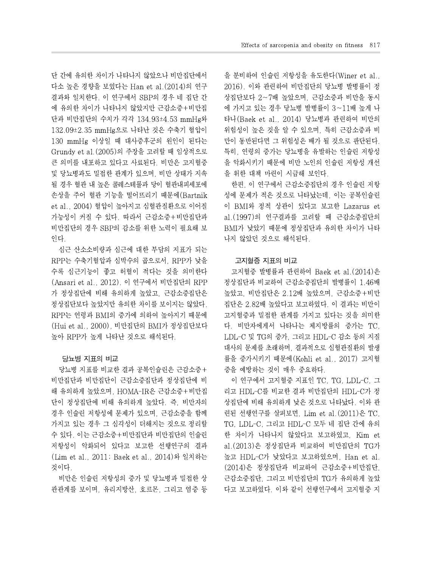단 간에 유의한 차이가 나타나지 않았으나 비만집단에서 다소 높은 경향을 보였다는 Han et al.(2014)의 연구 결과와 일치한다. 이 연구에서 SBP의 경우 네 집단 간 에 유의한 차이가 나타나지 않았지만 근감소증+비만집 단과 비만집단의 수치가 각각 134.93±4.53 mmHg와 132.09±2.35 mmHg으로 나타난 것은 수축기 혈압이 130 mmHg 이상일 때 대사증후군의 원인이 된다는 Grundy et al.(2005)의 주장을 고려할 때 임상적으로 큰 의미를 내포하고 있다고 사료된다. 비만은 고지혈증 및 당뇨병과도 밀접한 관계가 있으며, 비만 상태가 지속 될 경우 혈관 내 높은 콜레스테롤과 당이 혈관내피세포에 손상을 주어 혈관 기능을 떨어뜨리기 때문에(Bartnik et al., 2004) 혈압이 높아지고 심혈관질환으로 이어질 가능성이 커질 수 있다. 따라서 근감소증+비만집단과 비만집단의 경우 SBP의 감소를 위한 노력이 필요해 보 인다.

심근 산소소비량과 심근에 대한 부담의 지표가 되는 RPP는 수축기혈압과 심박수의 곱으로서, RPP가 낮을 수록 심근기능이 좋고 허혈이 적다는 것을 의미한다 (Ansari et al., 2012). 이 연구에서 비만집단의 RPP 가 정상집단에 비해 유의하게 높았고,근감소증집단은 정상집단보다 높았지만 유의한 차이를 보이지는 않았다. RPP는 연령과 BMI의 증가에 의하여 높아지기 때문에 (Hui et al., 2000), 비만집단의 BMI가 정상집단보다 높아 RPP가 높게 나타난 것으로 해석된다.

### 당뇨병 지표의 비교

당뇨병 지표를 비교한 결과 공복인슐린은 근감소증+ 비만집단과 비만집단이 근감소증집단과 정상집단에 비 해 유의하게 높았으며, HOMA-IR은 근감소증+비만집 단이 정상집단에 비해 유의하게 높았다.즉, 비만자의 경우 인슐린 저항성에 문제가 있으며, 근감소증을 함께 가지고 있는 경우 그 심각성이 더해지는 것으로 정리할 수 있다. 이는 근감소증+비만집단과 비만집단의 인슐린 저항성이 악화되어 있다고 보고한 선행연구의 결과 (Lim et al., 2011; Baek et al., 2014)와 일치하는 것이다.

비만은 인슐린 저항성의 증가 및 당뇨병과 밀접한 상 관관계를 보이며, 유리지방산, 호르몬, 그리고 염증 등 을 분비하여 인슐린 저항성을 유도한다(Winer et al., 2016). 이와 관련하여 비만집단의 당뇨병 발병률이 정 상집단보다 2~7배 높았으며, 근감소증과 비만을 동시 에 가지고 있는 경우 당뇨병 발병률이 3~11배 높게 나 타나(Baek et al., 2014) 당뇨병과 관련하여 비만의 위험성이 높은 것을 알 수 있으며, 특히 근감소증과 비 만이 동반된다면 그 위험성은 배가 될 것으로 판단된다. 특히, 연령의 증가는 당뇨병을 유발하는 인슐린 저항성 을 악화시키기 때문에 비만 노인의 인슐린 저항성 개선 을 위한 대책 마련이 시급해 보인다.

한편, 이 연구에서 근감소증집단의 경우 인슐린 저항 성에 문제가 적은 것으로 나타났는데, 이는 공복인슐린 이 BMI와 정적 상관이 있다고 보고한 Lazarus et al.(1997)의 연구결과를 고려할 때 근감소증집단의 BMI가 낮았기 때문에 정상집단과 유의한 차이가 나타 나지 않았던 것으로 해석된다.

### 고지혈증 지표의 비교

고지혈증 발병률과 관련하여 Baek et al.(2014)은 정상집단과 비교하여 근감소증집단의 발병률이 1.46배 높았고, 비만집단은 2.12배 높았으며, 근감소증+비만 집단은 2.82배 높았다고 보고하였다. 이 결과는 비만이 고지혈증과 밀접한 관계를 가지고 있다는 것을 의미한 다. 비만자에게서 나타나는 체지방률의 증가는 TC, LDL-C 및 TG의 증가,그리고 HDL-C감소 등의 지질 대사의 문제를 초래하며, 결과적으로 심혈관질환의 발생 률을 증가시키기 때문에(Kohli et al., 2017) 고지혈 증을 예방하는 것이 매우 중요하다.

이 연구에서 고지혈증 지표인 TC, TG, LDL-C, 그 리고 HDL-C를 비교한 결과 비만집단의 HDL-C가 정 상집단에 비해 유의하게 낮은 것으로 나타났다. 이와 관 련된 선행연구를 살펴보면, Lim et al.(2011)은 TC, TG, LDL-C, 그리고 HDL-C 모두 네 집단 간에 유의 한 차이가 나타나지 않았다고 보고하였고, Kim et al.(2013)은 정상집단과 비교하여 비만집단의 TG가 높고 HDL-C가 낮았다고 보고하였으며, Han et al. (2014)은 정상집단과 비교하여 근감소증+비만집단, 근감소증집단, 그리고 비만집단의 TG가 유의하게 높았 다고 보고하였다. 이와 같이 선행연구에서 고지혈증 지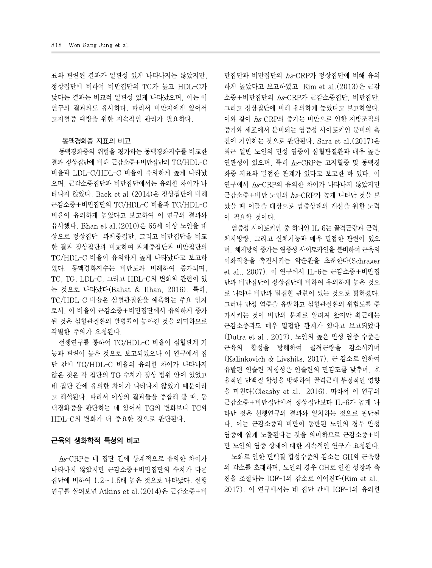표와 관련된 결과가 일관성 있게 나타나지는 않았지만, 정상집단에 비하여 비만집단의 TG가 높고 HDL-C가 낮다는 결과는 비교적 일관성 있게 나타났으며, 이는 이 연구의 결과와도 유사하다. 따라서 비만자에게 있어서 고지혈증 예방을 위한 지속적인 관리가 필요하다.

### 동맥경화증 지표의 비교

동맥경화증의 위험을 평가하는 동맥경화지수를 비교한 결과 정상집단에 비해 근감소증+비만집단의 TC/HDL-C 비율과 LDL-C/HDL-C 비율이 유의하게 높게 나타났 으며, 근감소증집단과 비만집단에서는 유의한 차이가 나 타나지 않았다. Baek et al.(2014)은 정상집단에 비해 근감소증+비만집단의 TC/HDL-C 비율과 TG/HDL-C 비율이 유의하게 높았다고 보고하여 이 연구의 결과와 유사했다. Bhan et al.(2010)은 65세 이상 노인을 대 상으로 정상집단, 과체중집단, 그리고 비만집단을 비교 한 결과 정상집단과 비교하여 과체중집단과 비만집단의 TC/HDL-C 비율이 유의하게 높게 나타났다고 보고하 였다. 동맥경화지수는 비만도와 비례하여 증가되며, TC, TG, LDL-C, 그리고 HDL-C의 변화와 관련이 있 는 것으로 나타났다(Bahat & Ilhan, 2016). 특히, TC/HDL-C 비율은 심혈관질환을 예측하는 주요 인자 로서, 이 비율이 근감소증+비만집단에서 유의하게 증가 된 것은 심혈관질환의 발병률이 높아진 것을 의미하므로 각별한 주의가 요청된다.

선행연구를 통하여 TG/HDL-C 비율이 심혈관계 기 능과 관련이 높은 것으로 보고되었으나 이 연구에서 집 단 간에 TG/HDL-C 비율의 유의한 차이가 나타나지 않은 것은 각 집단의 TG 수치가 정상 범위 안에 있었고 네 집단 간에 유의한 차이가 나타나지 않았기 때문이라 고 해석된다. 따라서 이상의 결과들을 종합해 볼 때. 동 맥경화증을 판단하는 데 있어서 TG의 변화보다 TC와 HDL-C의 변화가 더 중요한 것으로 판단된다.

### 근육의 생화학적 특성의 비교

hs-CRP는 네 집단 간에 통계적으로 유의한 차이가 나타나지 않았지만 근감소증+비만집단의 수치가 다른 집단에 비하여 1.2~1.5배 높은 것으로 나타났다. 선행 연구를 살펴보면 Atkins et al. (2014)은 근감소증+비 만집단과 비만집단의 hs-CRP가 정상집단에 비해 유의 하게 높았다고 보고하였고, Kim et al.(2013)은 근감 소증+비만집단의 hs-CRP가 근감소증집단, 비만집단, 그리고 정상집단에 비해 유의하게 높았다고 보고하였다. 이와 같이 hs-CRP의 증가는 비만으로 인한 지방조직의 증가와 세포에서 분비되는 염증성 사이토카인 분비의 촉 진에 기인하는 것으로 판단된다. Sara et al.(2017)은 최근 일반 노인의 만성 염증이 심혈관질환과 매우 높은 연관성이 있으며, 특히 hs-CRP는 고지혈증 및 동맥경 화증 지표와 밀접한 관계가 있다고 보고한 바 있다. 이 연구에서 hs-CRP의 유의한 차이가 나타나지 않았지만 근감소증+비만 노인의 hs-CRP가 높게 나타난 것을 보 았을 때 이들을 대상으로 염증상태의 개선을 위한 노력 이 필요할 것이다.

염증성 사이토카인 중 하나인 IL-6는 골격근량과 근력, 체지방량, 그리고 신체기능과 매우 밀접한 관련이 있으 며, 체지방의 증가는 염증성 사이토카인을 분비하여 근육의 이화작용을 촉진시키는 악순환을 초래한다(Schrager et al., 2007). 이 연구에서 IL-6는 근감소증+비만집 단과 비만집단이 정상집단에 비하여 유의하게 높은 것으 로 나타나 비만과 밀접한 관련이 있는 것으로 밝혀졌다. 그러나 만성 염증을 유발하고 심혈관질환의 위험도를 증 가시키는 것이 비만의 문제로 알려져 왔지만 최근에는 근감소증과도 매우 밀접한 관계가 있다고 보고되었다 (Dutra et al., 2017). 노인의 높은 만성 염증 수준은 근육의 합성을 방해하여 골격근량을 감소시키며 (Kalinkovich & Livshits, 2017), 근 감소로 인하여 유발된 인슐린 저항성은 인슐린의 민감도를 낮추며, 효 율적인 단백질 합성을 방해하여 골격근에 부정적인 영향 을 미친다(Cleasby et al.,2016). 따라서 이 연구의 근감소증+비만집단에서 정상집단보다 IL-6가 높게 나 타난 것은 선행연구의 결과와 일치하는 것으로 판단된 다. 이는 근감소증과 비만이 동반된 노인의 경우 만성 염증에 쉽게 노출된다는 것을 의미하므로 근감소증+비 만 노인의 염증 상태에 대한 지속적인 연구가 요청된다. 노화로 인한 단백질 합성수준의 감소는 GH와 근육량

의 감소를 초래하며, 노인의 경우 GH로 인한 성장과 촉 진을 조절하는 IGF-1의 감소로 이어진다(Kim et al., 2017). 이 연구에서는 네 집단 간에 IGF-1의 유의한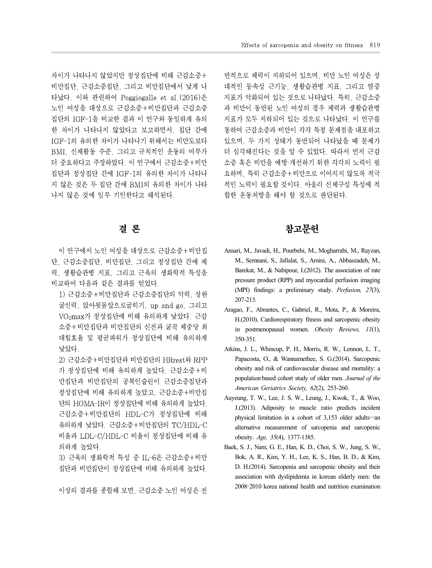차이가 나타나지 않았지만 정상집단에 비해 근감소증+ 비만집단, 근감소증집단, 그리고 비만집단에서 낮게 나 타났다. 이와 관련하여 Poggiogalle et al.(2016)은 노인 여성을 대상으로 근감소증+비만집단과 근감소증 집단의 IGF-1을 비교한 결과 이 연구와 동일하게 유의 한 차이가 나타나지 않았다고 보고하면서, 집단 간에 IGF-1의 유의한 차이가 나타나기 위해서는 비만도보다 BMI, 신체활동 수준, 그리고 규칙적인 운동의 여부가 더 중요하다고 주장하였다. 이 연구에서 근감소증+비만 집단과 정상집단 간에 IGF-1의 유의한 차이가 나타나 지 않은 것은 두 집단 간에 BMI의 유의한 차이가 나타 나지 않은 것에 일부 기인한다고 해석된다.

# 결 론

이 연구에서 노인 여성을 대상으로 근감소증+비만집 단, 근감소증집단, 비만집단, 그리고 정상집단 간에 체 력, 생활습관병 지표, 그리고 근육의 생화학적 특성을 비교하여 다음과 같은 결과를 얻었다.

1) 근감소증+비만집단과 근감소증집단의 악력, 상완 굴신력, 앉아윗몸앞으로굽히기, up and go, 그리고 VO2max가 정상집단에 비해 유의하게 낮았다. 근감 소증+비만집단과 비만집단의 신전과 굴곡 체중당 최 대힘효율 및 평균파워가 정상집단에 비해 유의하게 낮았다.

2) 근감소증+비만집단과 비만집단의 HRrest와 RPP 가 정상집단에 비해 유의하게 높았다. 근감소증+비 정상집단에 비해 유의하게 높았고, 근감소증+비만집 단의 HOMA-IR이 정상집단에 비해 유의하게 높았다. 유의하게 낮았다. 근감소증+비만집단의 TC/HDL-C 비율과 LDL-C/HDL-C 비율이 정상집단에 비해 유 의하게 높았다.

3) 근육의 생화학적 특성 중 IL-6은 근감소증+비만 집단과 비만집단이 정상집단에 비해 유의하게 높았다.

이상의 결과를 종합해 보면, 근감소증 노인 여성은 전

반적으로 체력이 저하되어 있으며, 비만 노인 여성은 상 대적인 등속성 근기능, 생활습관병 지표, 그리고 염증 지표가 악화되어 있는 것으로 나타났다. 특히, 근감소증 과 비만이 동반된 노인 여성의 경우 체력과 생활습관병 지표가 모두 저하되어 있는 것으로 나타났다. 이 연구를 통하여 근감소증과 비만이 각각 특정 문제점을 내포하고 있으며, 두 가지 상태가 동반되어 나타났을 때 문제가 더 심각해진다는 것을 알 수 있었다. 따라서 먼저 근감 소증 혹은 비만을 예방·개선하기 위한 각각의 노력이 필 요하며, 특히 근감소증+비만으로 이어지지 않도록 적극 적인 노력이 필요할 것이다. 아울러 신체구성 특성에 적 합한 운동처방을 해야 할 것으로 판단된다.

# 참고문헌

- Ansari, M., Javadi, H., Pourbehi, M., Mogharrabi, M., Rayzan, M., Semnani, S., Jallalat, S., Amini, A., Abbaszadeh, M., Barekat, M., & Nabipour, I.(2012). The association of rate pressure product (RPP) and myocardial perfusion imaging (MPI) findings: a preliminary study. *Perfusion, 27*(3), 207-213.
- Aragao, F., Abrantes, C., Gabriel, R., Mota, P., & Moreira, H.(2010). Cardiorespiratory fitness and sarcopenic obesity in postmenopausal women. *Obesity Reviews, 11*(1), 350-351.
- 만집단과 비만집단의 공복인슐린이 근감소증집단과 population-based cohort study of older men. Journal of the Atkins, J. L., Whincup, P. H., Morris, R. W., Lennon, L. T., Papacosta, O., & Wannamethee, S. G.(2014). Sarcopenic obesity and risk of cardiovascular disease and mortality: a *American Geriatrics Society, 62*(2), 253-260.
- 근감소증+비만집단의 HDL-C가 정상집단에 비해 Auyeung, T. W., Lee, J. S. W., Leung, J., Kwok, T., & Woo, J.(2013). Adiposity to muscle ratio predicts incident alternative measurement of sarcopenia and sarcopenic obesity. *Age, 35*(4), 1377-1385.
	- Baek, S. J., Nam, G. E., Han, K. D., Choi, S. W., Jung, S. W., Bok, A. R., Kim, Y. H., Lee, K. S., Han, B. D., & Kim, D. H.(2014). Sarcopenia and sarcopenic obesity and their association with dyslipidemia in korean elderly men: the 2008–2010 korea national health and nutrition examination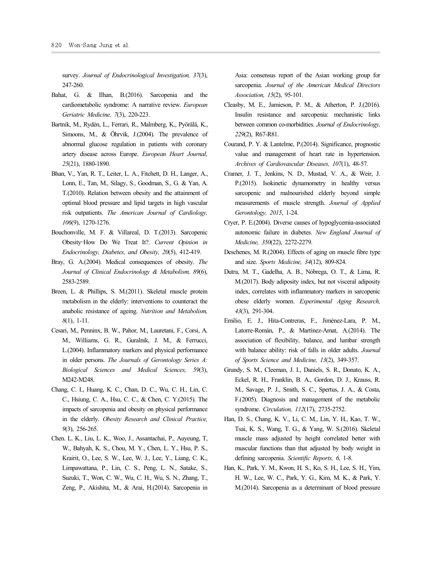survey. *Journal of Endocrinological Investigation, 37*(3), 247-260.

- Bahat, G. & Ilhan, B.(2016). Sarcopenia and the cardiometabolic syndrome: A narrative review. *European Geriatric Medicine, 7*(3), 220-223.
- Bartnik, M., Rydén, L., Ferrari, R., Malmberg, K., Pyörälä, K., Simoons, M., & Öhrvik, J.(2004). The prevalence of abnormal glucose regulation in patients with coronary artery disease across Europe. *European Heart Journal, 25*(21), 1880-1890.
- Bhan, V., Yan, R. T., Leiter, L. A., Fitchett, D. H., Langer, A., T.(2010). Relation between obesity and the attainment of optimal blood pressure and lipid targets in high vascular risk outpatients. *The American Journal of Cardiology, 106*(9), 1270-1276.
- Bouchonville, M. F. & Villareal, D. T.(2013). Sarcopenic Obesity–How Do We Treat It?. *Current Opinion in Endocrinology, Diabetes, and Obesity, 20*(5), 412-419.
- Bray, G. A.(2004). Medical consequences of obesity. *The Journal of Clinical Endocrinology & Metabolism, 89*(6), 2583-2589.
- Breen, L. & Phillips, S. M.(2011). Skeletal muscle protein metabolism in the elderly: interventions to counteract the anabolic resistance of ageing. *Nutrition and Metabolism, 8*(1), 1-11.
- Cesari, M., Penninx, B. W., Pahor, M., Lauretani, F., Corsi, A. M., Williams, G. R., Guralnik, J. M., & Ferrucci, L.(2004). Inflammatory markers and physical performance in older persons. *The Journals of Gerontology Series A: Biological Sciences and Medical Sciences, 59*(3), M242-M248.
- Chang, C. I., Huang, K. C., Chan, D. C., Wu, C. H., Lin, C. C., Hsiung, C. A., Hsu, C. C., & Chen, C. Y.(2015). The impacts of sarcopenia and obesity on physical performance in the elderly. *Obesity Research and Clinical Practice, 9*(3), 256-265.
- Chen. L. K., Liu, L. K., Woo, J., Assantachai, P., Auyeung, T, W., Bahyah, K. S., Chou, M. Y., Chen, L. Y., Hsu, P. S., Krairit, O., Lee, S. W., Lee, W. J., Lee, Y., Liang, C. K., Limpawattana, P., Lin, C. S., Peng, L. N., Satake, S., Suzuki, T., Won, C. W., Wu, C. H., Wu, S. N., Zhang, T., Zeng, P., Akishita, M., & Arai, H.(2014). Sarcopenia in

Asia: consensus report of the Asian working group for sarcopenia. *Journal of the American Medical Directors Association, 15*(2), 95-101.

- Cleasby, M. E., Jamieson, P. M., & Atherton, P. J.(2016). Insulin resistance and sarcopenia: mechanistic links between common co-morbidities. *Journal of Endocrinology, 229*(2), R67-R81.
- Courand, P. Y. & Lantelme, P.(2014). Significance, prognostic value and management of heart rate in hypertension. *Archives of Cardiovascular Diseases, 107*(1), 48-57.
- Lonn, E., Tan, M., Silagy, S., Goodman, S., G. & Yan, A. Cramer, J. T., Jenkins, N. D., Mustad, V. A., & Weir, J. sarcopenic and malnourished elderly beyond simple measurements of muscle strength. *Journal of Applied Gerontology, 2015*, 1-24.
	- Cryer, P. E.(2004). Diverse causes of hypoglycemia-associated autonomic failure in diabetes. *New England Journal of Medicine, 350*(22), 2272-2279.
	- Deschenes, M. R.(2004). Effects of aging on muscle fibre type and size. *Sports Medicine, 34*(12), 809-824.
	- Dutra, M. T., Gadelha, A. B., Nóbrega, O. T., & Lima, R. M.(2017). Body adiposity index, but not visceral adiposity index, correlates with inflammatory markers in sarcopenic obese elderly women. *Experimental Aging Research, 43*(3), 291-304.
	- Emilio, E. J., Hita-Contreras, F., Jiménez-Lara, P. M., Latorre-Román, P., & Martínez-Amat, A.(2014). The association of flexibility, balance, and lumbar strength with balance ability: risk of falls in older adults. *Journal of Sports Science and Medicine, 13*(2), 349-357.
	- Grundy, S. M., Cleeman, J. I., Daniels, S. R., Donato, K. A., Eckel, R. H., Franklin, B. A., Gordon, D. J., Krauss, R. M., Savage, P. J., Smith, S. C., Spertus, J. A., & Costa, F.(2005). Diagnosis and management of the metabolic syndrome. *Circulation, 112*(17), 2735-2752.
	- Han, D. S., Chang, K. V., Li, C. M., Lin, Y. H., Kao, T. W., Tsai, K. S., Wang, T. G., & Yang, W. S.(2016). Skeletal muscle mass adjusted by height correlated better with muscular functions than that adjusted by body weight in defining sarcopenia. *Scientific Reports, 6*, 1-8.
	- Han, K., Park, Y. M., Kwon, H. S., Ko, S. H., Lee, S. H., Yim, H. W., Lee, W. C., Park, Y. G., Kim, M. K., & Park, Y. M.(2014). Sarcopenia as a determinant of blood pressure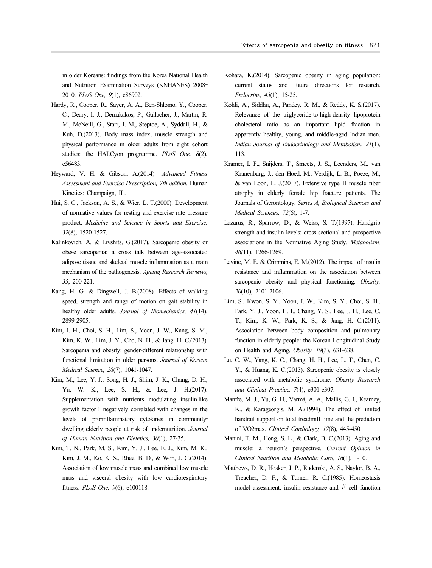in older Koreans: findings from the Korea National Health and Nutrition Examination Surveys (KNHANES) 2008– 2010. *PLoS One, 9*(1), e86902.

- Hardy, R., Cooper, R., Sayer, A. A., Ben-Shlomo, Y., Cooper, C., Deary, I. J., Demakakos, P., Gallacher, J., Martin, R. M., McNeill, G., Starr, J. M., Steptoe, A., Syddall, H., & Kuh, D.(2013). Body mass index, muscle strength and physical performance in older adults from eight cohort studies: the HALCyon programme. *PLoS One, 8*(2), e56483.
- Heyward, V. H. & Gibson, A.(2014). *Advanced Fitness Assessment and Exercise Prescription, 7th edition.* Human Kinetics: Champaign, IL.
- Hui, S. C., Jackson, A. S., & Wier, L. T.(2000). Development of normative values for resting and exercise rate pressure product. *Medicine and Science in Sports and Exercise, 32*(8), 1520-1527.
- Kalinkovich, A. & Livshits, G.(2017). Sarcopenic obesity or obese sarcopenia: a cross talk between age-associated adipose tissue and skeletal muscle inflammation as a main mechanism of the pathogenesis. *Ageing Research Reviews, 35*, 200-221.
- Kang, H. G. & Dingwell, J. B.(2008). Effects of walking speed, strength and range of motion on gait stability in healthy older adults. *Journal of Biomechanics, 41*(14), 2899-2905.
- Kim, J. H., Choi, S. H., Lim, S., Yoon, J. W., Kang, S. M., Kim, K. W., Lim, J. Y., Cho, N. H., & Jang, H. C.(2013). Sarcopenia and obesity: gender-different relationship with on Health and Aging. Obesity, 19(3), 631-638. functional limitation in older persons. *Journal of Korean Medical Science, 28*(7), 1041-1047.
- Kim, M., Lee, Y. J., Song, H. J., Shim, J. K., Chang, D. H., Yu, W. K., Lee, S. H., & Lee, J. H.(2017). Supplementation with nutrients modulating insulin-like growth factor‐1 negatively correlated with changes in the levels of pro-inflammatory cytokines in communitydwelling elderly people at risk of undernutrition. *Journal of Human Nutrition and Dietetics, 30*(1), 27-35.
- Kim, T. N., Park, M. S., Kim, Y. J., Lee, E. J., Kim, M. K., Kim, J. M., Ko, K. S., Rhee, B. D., & Won, J. C.(2014). Association of low muscle mass and combined low muscle mass and visceral obesity with low cardiorespiratory fitness. *PLoS One, 9*(6), e100118.
- Kohara, K.(2014). Sarcopenic obesity in aging population: current status and future directions for research. *Endocrine, 45*(1), 15-25.
- Kohli, A., Siddhu, A., Pandey, R. M., & Reddy, K. S.(2017). Relevance of the triglyceride-to-high-density lipoprotein cholesterol ratio as an important lipid fraction in apparently healthy, young, and middle-aged Indian men. *Indian Journal of Endocrinology and Metabolism, 21*(1), 113.
- Kramer, I. F., Snijders, T., Smeets, J. S., Leenders, M., van Kranenburg, J., den Hoed, M., Verdijk, L. B., Poeze, M., & van Loon, L. J.(2017). Extensive type II muscle fiber atrophy in elderly female hip fracture patients. The Journals of Gerontology. *Series A, Biological Sciences and Medical Sciences, 72*(6), 1-7.
- Lazarus, R., Sparrow, D., & Weiss, S. T.(1997). Handgrip strength and insulin levels: cross-sectional and prospective associations in the Normative Aging Study. *Metabolism, 46(*11), 1266-1269.
- Levine, M. E. & Crimmins, E. M.(2012). The impact of insulin resistance and inflammation on the association between sarcopenic obesity and physical functioning. *Obesity, 20*(10), 2101-2106.
- Lim, S., Kwon, S. Y., Yoon, J. W., Kim, S. Y., Choi, S. H., Park, Y. J., Yoon, H. I., Chang, Y. S., Lee, J. H., Lee, C. T., Kim, K. W., Park, K. S., & Jang, H. C.(2011). Association between body composition and pulmonary function in elderly people: the Korean Longitudinal Study
- Lu, C. W., Yang, K. C., Chang, H. H., Lee, L. T., Chen, C. Y., & Huang, K. C.(2013). Sarcopenic obesity is closely associated with metabolic syndrome. *Obesity Research and Clinical Practice, 7*(4), e301-e307.
- Manfre, M. J., Yu, G. H., Varmá, A. A., Mallis, G. I., Kearney, K., & Karageorgis, M. A.(1994). The effect of limited handrail support on total treadmill time and the prediction of VO2max. *Clinical Cardiology, 17*(8), 445-450.
- Manini, T. M., Hong, S. L., & Clark, B. C.(2013). Aging and muscle: a neuron's perspective. *Current Opinion in Clinical Nutrition and Metabolic Care, 16*(1), 1-10.
- Matthews, D. R., Hosker, J. P., Rudenski, A. S., Naylor, B. A., Treacher, D. F., & Turner, R. C.(1985). Homeostasis model assessment: insulin resistance and  $\beta$ -cell function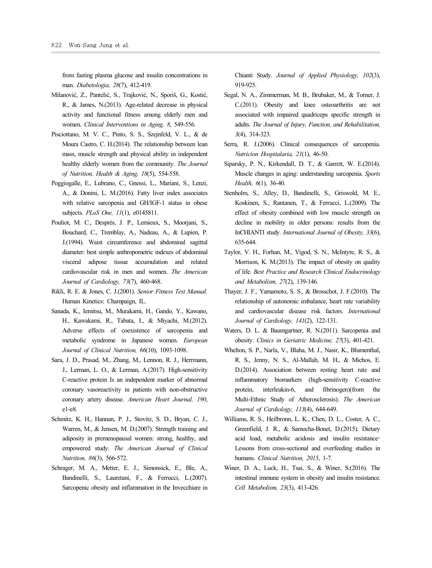from fasting plasma glucose and insulin concentrations in man. *Diabetologia, 28*(7), 412-419.

- Milanović, Z., Pantelić, S., Trajković, N., Sporiš, G., Kostić, R., & James, N.(2013). Age-related decrease in physical activity and functional fitness among elderly men and women. *Clinical Interventions in Aging, 8*, 549-556.
- Pisciottano, M. V. C., Pinto, S. S., Szejnfeld, V. L., & de Moura Castro, C. H.(2014). The relationship between lean mass, muscle strength and physical ability in independent healthy elderly women from the community. *The Journal of Nutrition, Health & Aging, 18*(5), 554-558.
- Poggiogalle, E., Lubrano, C., Gnessi, L., Mariani, S., Lenzi, A., & Donini, L. M.(2016). Fatty liver index associates with relative sarcopenia and GH/IGF-1 status in obese subjects. *PLoS One, 11*(1), e0145811.
- Bouchard, C., Tremblay, A., Nadeau, A., & Lupien, P. J.(1994). Waist circumference and abdominal sagittal diameter: best simple anthropometric indexes of abdominal visceral adipose tissue accumulation and related cardiovascular risk in men and women. *The American Journal of Cardiology, 73*(7), 460-468.
- Rikli, R. E. & Jones, C. J.(2001). *Senior Fitness Test Manual.* Human Kinetics: Champaign, IL.
- Sanada, K., Iemitsu, M., Murakami, H., Gando, Y., Kawano, H., Kawakami, R., Tabata, I., & Miyachi, M.(2012). Adverse effects of coexistence of sarcopenia and metabolic syndrome in Japanese women. *European Journal of Clinical Nutrition, 66*(10), 1093-1098.
- Sara, J. D., Prasad, M., Zhang, M., Lennon, R. J., Herrmann, J., Lerman, L. O., & Lerman, A.(2017). High-sensitivity C-reactive protein Is an independent marker of abnormal coronary vasoreactivity in patients with non-obstructive coronary artery disease. *American Heart Journal, 190*, e1-e8.
- Schmitz, K. H., Hannan, P. J., Stovitz, S. D., Bryan, C. J., Warren, M., & Jensen, M. D.(2007). Strength training and adiposity in premenopausal women: strong, healthy, and empowered study. *The American Journal of Clinical Nutrition, 86*(3), 566-572.
- Schrager, M. A., Metter, E. J., Simonsick, E., Ble, A., Bandinelli, S., Lauretani, F., & Ferrucci, L.(2007). Sarcopenic obesity and inflammation in the Invecchiare in

Chianti Study. *Journal of Applied Physiology, 102*(3), 919-925.

- Segal, N. A., Zimmerman, M. B., Brubaker, M., & Torner, J. C.(2011). Obesity and knee osteoarthritis are not associated with impaired quadriceps specific strength in adults. *The Journal of Injury, Function, and Rehabilitation, 3*(4), 314-323.
- Serra, R. J.(2006). Clinical consequences of sarcopenia. *Nutricion Hospitalaria, 21*(1), 46-50.
- Siparsky, P. N., Kirkendall, D. T., & Garrett, W. E.(2014). Muscle changes in aging: understanding sarcopenia. *Sports Health, 6*(1), 36-40.
- Pouliot, M. C., Després, J. P., Lemieux, S., Moorjani, S., decline in mobility in older persons: results from the Stenholm, S., Alley, D., Bandinelli, S., Griswold, M. E., Koskinen, S., Rantanen, T., & Ferrucci, L.(2009). The effect of obesity combined with low muscle strength on InCHIANTI study. *International Journal of Obesity, 33*(6), 635-644.
	- Taylor, V. H., Forhan, M., Vigod, S. N., McIntyre, R. S., & Morrison, K. M.(2013). The impact of obesity on quality of life. *Best Practice and Research Clinical Endocrinology and Metabolism, 27*(2), 139-146.
	- Thayer, J. F., Yamamoto, S. S., & Brosschot, J. F.(2010). The relationship of autonomic imbalance, heart rate variability and cardiovascular disease risk factors. *International Journal of Cardiology, 141*(2), 122-131.
	- Waters, D. L. & Baumgartner, R. N.(2011). Sarcopenia and obesity. *Clinics in Geriatric Medicine, 27*(3), 401-421.
	- Whelton, S. P., Narla, V., Blaha, M. J., Nasir, K., Blumenthal, R. S., Jenny, N. S., Al-Mallah, M. H., & Michos, E. D.(2014). Association between resting heart rate and inflammatory biomarkers (high-sensitivity C-reactive interleukin-6, and fibrinogen)(from the Multi-Ethnic Study of Atherosclerosis). *The American Journal of Cardiology, 113*(4), 644-649.
	- Williams, R. S., Heilbronn, L. K., Chen, D. L., Coster, A. C., Greenfield, J. R., & Samocha-Bonet, D.(2015). Dietary acid load, metabolic acidosis and insulin resistance– Lessons from cross-sectional and overfeeding studies in humans. *Clinical Nutrition, 2015*, 1-7.
	- Winer, D. A., Luck, H., Tsai, S., & Winer, S.(2016). The intestinal immune system in obesity and insulin resistance. *Cell Metabolism, 23*(3), 413-426.